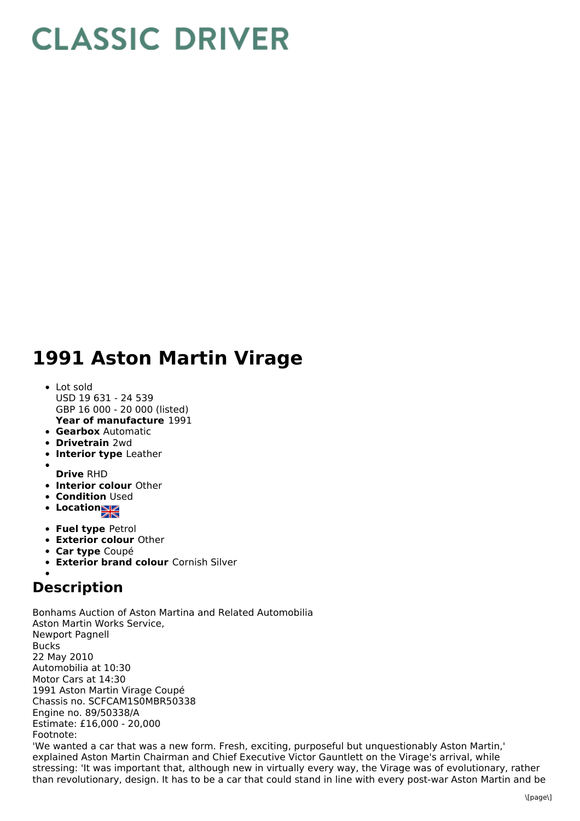## **CLASSIC DRIVER**

## **1991 Aston Martin Virage**

- **Year of manufacture** 1991 • Lot sold USD 19 631 - 24 539 GBP 16 000 - 20 000 (listed)
- **Gearbox** Automatic
- **Drivetrain** 2wd
- **Interior type** Leather
- **Drive** RHD
- **Interior colour** Other
- **Condition Used**
- **Location**
- **Fuel type** Petrol
- **Exterior colour** Other
- **Car type** Coupé
- **Exterior brand colour** Cornish Silver

## **Description**

Bonhams Auction of Aston Martina and Related Automobilia Aston Martin Works Service, Newport Pagnell Bucks 22 May 2010 Automobilia at 10:30 Motor Cars at 14:30 1991 Aston Martin Virage Coupé Chassis no. SCFCAM1S0MBR50338 Engine no. 89/50338/A Estimate: £16,000 - 20,000 Footnote: 'We wanted a car that was a new form. Fresh, exciting, purposeful but unquestionably Aston Martin,'

explained Aston Martin Chairman and Chief Executive Victor Gauntlett on the Virage's arrival, while stressing: 'It was important that, although new in virtually every way, the Virage was of evolutionary, rather than revolutionary, design. It has to be a car that could stand in line with every post-war Aston Martin and be